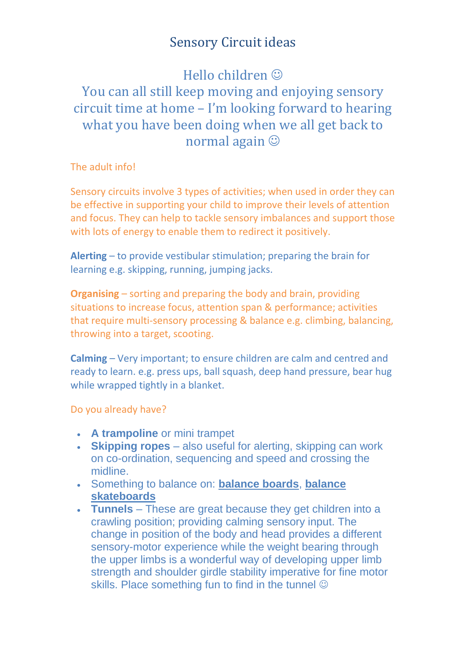## Sensory Circuit ideas

# Hello children You can all still keep moving and enjoying sensory circuit time at home – I'm looking forward to hearing what you have been doing when we all get back to normal again

The adult info!

Sensory circuits involve 3 types of activities; when used in order they can be effective in supporting your child to improve their levels of attention and focus. They can help to tackle sensory imbalances and support those with lots of energy to enable them to redirect it positively.

**Alerting** – to provide vestibular stimulation; preparing the brain for learning e.g. skipping, running, jumping jacks.

**Organising** – sorting and preparing the body and brain, providing situations to increase focus, attention span & performance; activities that require multi‐sensory processing & balance e.g. climbing, balancing, throwing into a target, scooting.

**Calming** – Very important; to ensure children are calm and centred and ready to learn. e.g. press ups, ball squash, deep hand pressure, bear hug while wrapped tightly in a blanket.

#### Do you already have?

- **[A trampoline](https://www.educanda.co.za/item/mini_trampoline)** or mini trampet
- **[Skipping ropes](https://www.educanda.co.za/search/all/skipping%20rope)** also useful for alerting, skipping can work on co-ordination, sequencing and speed and crossing the midline.
- Something to balance on: **[balance boards](https://www.educanda.co.za/item/walking_board__81_x_15_x_3_cm)**, **[balance](https://www.educanda.co.za/item/balance_skateboard)  [skateboards](https://www.educanda.co.za/item/balance_skateboard)**
- **[Tunnels](https://www.educanda.co.za/item/tunnel_300_cm)** These are great because they get children into a crawling position; providing calming sensory input. The change in position of the body and head provides a different sensory-motor experience while the weight bearing through the upper limbs is a wonderful way of developing upper limb strength and shoulder girdle stability imperative for fine motor skills. Place something fun to find in the tunnel  $\odot$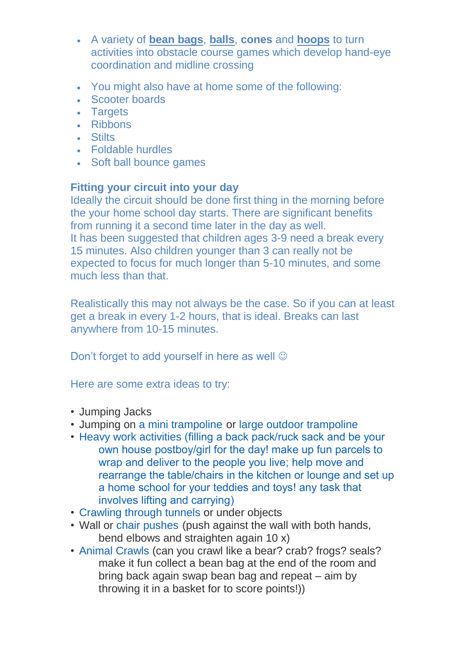- A variety of **[bean bags](https://www.educanda.co.za/search/all/bean%20bags)**, **[balls](https://www.educanda.co.za/search/all/balls)**, **[cones](https://www.educanda.co.za/search/all/cones)** and **[hoops](https://www.educanda.co.za/search/all/hoops)** to turn activities into obstacle course games which develop hand-eye coordination and midline crossing
- You might also have at home some of the following:
- [Scooter boards](https://www.educanda.co.za/item/scooter_board_with_handles)
- [Targets](https://www.educanda.co.za/item/bullseyebeanbags)
- [Ribbons](https://www.educanda.co.za/search/all/ribbons)
- [Stilts](https://www.educanda.co.za/search/all/stilts)
- [Foldable hurdles](https://www.educanda.co.za/item/foldable_hurdles_set_x5)
- [Soft ball bounce](https://www.educanda.co.za/item/soft_ball_bounce) games

### **Fitting your circuit into your day**

Ideally the circuit should be done first thing in the morning before the your home school day starts. There are significant benefits from running it a second time later in the day as well. It has been suggested that children ages 3-9 need a break every 15 minutes. Also children younger than 3 can really not be expected to focus for much longer than 5-10 minutes, and some much less than that.

Realistically this may not always be the case. So if you can at least get a break in every 1-2 hours, that is ideal. Breaks can last anywhere from 10-15 minutes.

Don't forget to add yourself in here as well  $\odot$ 

Here are some extra ideas to try:

- Jumping Jacks
- Jumping on [a mini trampoline](http://www.amazon.com/Pure-Fitness-48-Inch-Mini-Trampoline/dp/B00KE233BC/ref=as_li_bk_tl/?tag=lemolimeadve-20&linkId=0d3b0c6f82737ae6ed3eb233aa3abb1f&linkCode=ktl) or [large outdoor trampoline](http://www.amazon.com/Upper-Trampoline-Enclosure-equipped-ASSEMBLE/dp/B009XEBSSC/ref=as_li_bk_tl/?tag=lemolimeadve-20&linkId=ddcbc146f22fcf57ed3ff7093aa034e3&linkCode=ktl)
- [Heavy work activities](http://goldenreflectionsblog.com/heavy-work-ideas-for-kids.html) (filling a back pack/ruck sack and be your own house postboy/girl for the day! make up fun parcels to wrap and deliver to the people you live; help move and rearrange the table/chairs in the kitchen or lounge and set up a home school for your teddies and toys! any task that involves lifting and carrying)
- [Crawling through tunnels](http://goldenreflectionsblog.com/sensory-processing-play-tunnel-play-encourage-crawling.html) or under objects
- Wall or [chair pushes](http://www.amazon.com/CAP-Barbell-Pair-Push-Bars/dp/B002OEQ50Y/ref=as_li_bk_tl/?tag=lemolimeadve-20&linkId=cce1bb859ebcf9710936349ca58093d3&linkCode=ktl) (push against the wall with both hands, bend elbows and straighten again 10 x)
- [Animal Crawls](https://lemonlimeadventures.com/animal-walks-sensory-diet/) (can you crawl like a bear? crab? frogs? seals? make it fun collect a bean bag at the end of the room and bring back again swap bean bag and repeat – aim by throwing it in a basket for to score points!))